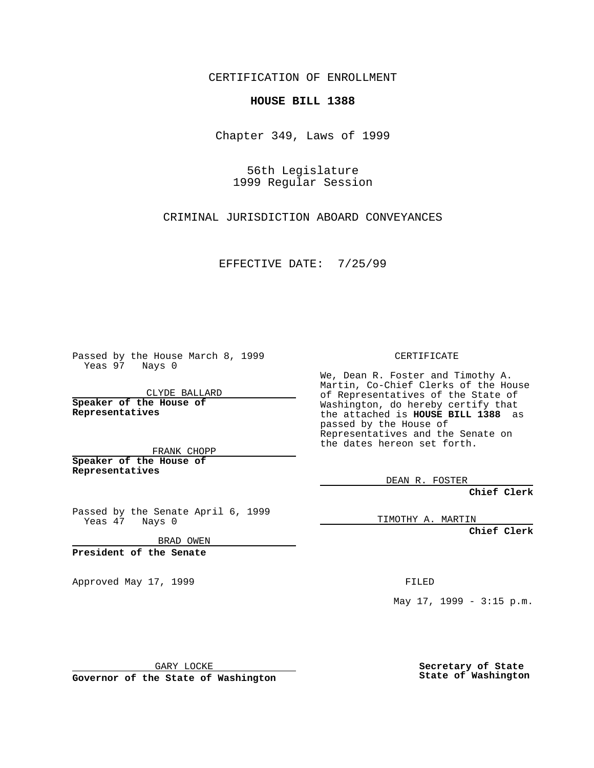CERTIFICATION OF ENROLLMENT

## **HOUSE BILL 1388**

Chapter 349, Laws of 1999

56th Legislature 1999 Regular Session

CRIMINAL JURISDICTION ABOARD CONVEYANCES

EFFECTIVE DATE: 7/25/99

Passed by the House March 8, 1999 Yeas 97 Nays 0

CLYDE BALLARD **Speaker of the House of Representatives**

FRANK CHOPP **Speaker of the House of Representatives**

Passed by the Senate April 6, 1999 Yeas 47 Nays 0

BRAD OWEN

**President of the Senate**

Approved May 17, 1999 **FILED** 

CERTIFICATE

We, Dean R. Foster and Timothy A. Martin, Co-Chief Clerks of the House of Representatives of the State of Washington, do hereby certify that the attached is **HOUSE BILL 1388** as passed by the House of Representatives and the Senate on the dates hereon set forth.

DEAN R. FOSTER

**Chief Clerk**

TIMOTHY A. MARTIN

**Chief Clerk**

May 17, 1999 - 3:15 p.m.

GARY LOCKE

**Governor of the State of Washington**

**Secretary of State State of Washington**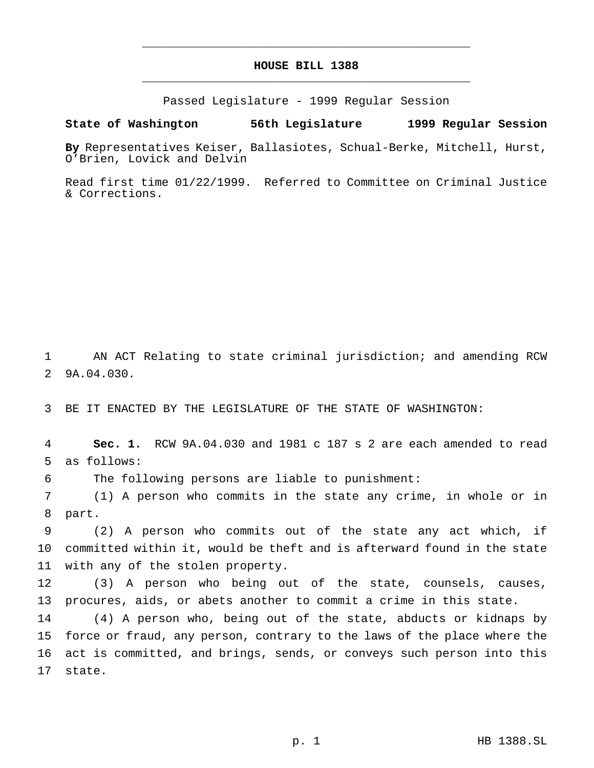## **HOUSE BILL 1388** \_\_\_\_\_\_\_\_\_\_\_\_\_\_\_\_\_\_\_\_\_\_\_\_\_\_\_\_\_\_\_\_\_\_\_\_\_\_\_\_\_\_\_\_\_\_\_

\_\_\_\_\_\_\_\_\_\_\_\_\_\_\_\_\_\_\_\_\_\_\_\_\_\_\_\_\_\_\_\_\_\_\_\_\_\_\_\_\_\_\_\_\_\_\_

Passed Legislature - 1999 Regular Session

## **State of Washington 56th Legislature 1999 Regular Session**

**By** Representatives Keiser, Ballasiotes, Schual-Berke, Mitchell, Hurst, O'Brien, Lovick and Delvin

Read first time 01/22/1999. Referred to Committee on Criminal Justice & Corrections.

 AN ACT Relating to state criminal jurisdiction; and amending RCW 9A.04.030.

BE IT ENACTED BY THE LEGISLATURE OF THE STATE OF WASHINGTON:

 **Sec. 1.** RCW 9A.04.030 and 1981 c 187 s 2 are each amended to read as follows:

The following persons are liable to punishment:

 (1) A person who commits in the state any crime, in whole or in part.

 (2) A person who commits out of the state any act which, if committed within it, would be theft and is afterward found in the state with any of the stolen property.

 (3) A person who being out of the state, counsels, causes, procures, aids, or abets another to commit a crime in this state.

 (4) A person who, being out of the state, abducts or kidnaps by force or fraud, any person, contrary to the laws of the place where the act is committed, and brings, sends, or conveys such person into this state.